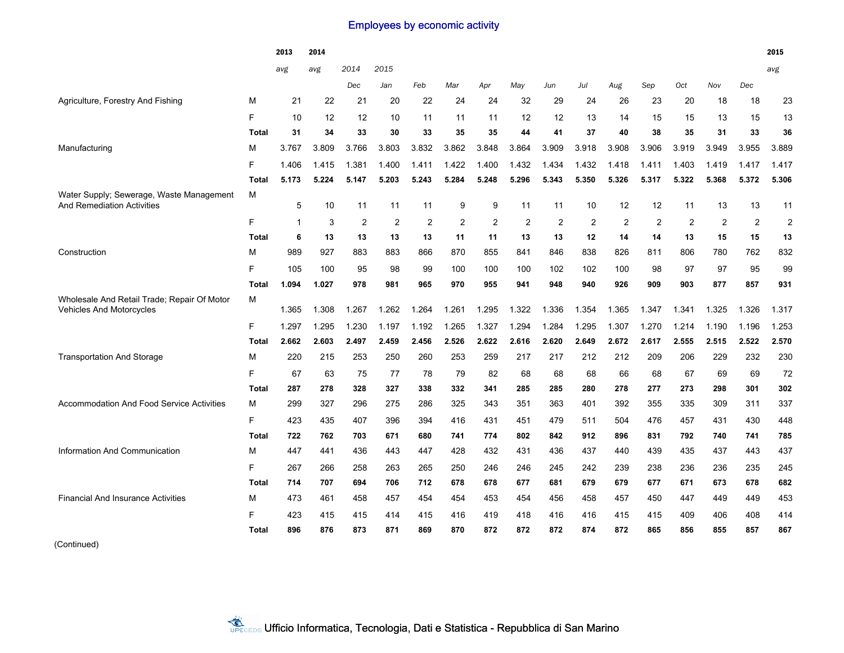## Employees by economic activity

|                                                                                |              | 2013         | 2014  |       |                |                |       |                |                |       |                |                |                |                |                |       | 2015           |
|--------------------------------------------------------------------------------|--------------|--------------|-------|-------|----------------|----------------|-------|----------------|----------------|-------|----------------|----------------|----------------|----------------|----------------|-------|----------------|
|                                                                                |              | avg          | avg   | 2014  | 2015           |                |       |                |                |       |                |                |                |                |                |       | avg            |
|                                                                                |              |              |       | Dec   | Jan            | Feb            | Mar   | Apr            | May            | Jun   | Jul            | Aug            | Sep            | Oct            | Nov            | Dec   |                |
| Agriculture, Forestry And Fishing                                              | М            | 21           | 22    | 21    | 20             | 22             | 24    | 24             | 32             | 29    | 24             | 26             | 23             | 20             | 18             | 18    | 23             |
|                                                                                | F.           | 10           | 12    | 12    | 10             | 11             | 11    | 11             | 12             | 12    | 13             | 14             | 15             | 15             | 13             | 15    | 13             |
|                                                                                | <b>Total</b> | 31           | 34    | 33    | 30             | 33             | 35    | 35             | 44             | 41    | 37             | 40             | 38             | 35             | 31             | 33    | 36             |
| Manufacturing                                                                  | М            | 3.767        | 3.809 | 3.766 | 3.803          | 3.832          | 3.862 | 3.848          | 3.864          | 3.909 | 3.918          | 3.908          | 3.906          | 3.919          | 3.949          | 3.955 | 3.889          |
|                                                                                | F            | 1.406        | 1.415 | 1.381 | 1.400          | 1.411          | 1.422 | 1.400          | 1.432          | 1.434 | 1.432          | 1.418          | 1.411          | 1.403          | 1.419          | 1.417 | 1.417          |
|                                                                                | <b>Total</b> | 5.173        | 5.224 | 5.147 | 5.203          | 5.243          | 5.284 | 5.248          | 5.296          | 5.343 | 5.350          | 5.326          | 5.317          | 5.322          | 5.368          | 5.372 | 5.306          |
| Water Supply; Sewerage, Waste Management<br><b>And Remediation Activities</b>  | M            | 5            | 10    | 11    | 11             | 11             | 9     | 9              | 11             | 11    | 10             | 12             | 12             | 11             | 13             | 13    | 11             |
|                                                                                | F.           | $\mathbf{1}$ | 3     | 2     | $\overline{2}$ | $\overline{2}$ | 2     | $\overline{2}$ | $\overline{2}$ | 2     | $\overline{2}$ | $\overline{2}$ | $\overline{2}$ | $\overline{2}$ | $\overline{2}$ | 2     | $\overline{2}$ |
|                                                                                | Total        | 6            | 13    | 13    | 13             | 13             | 11    | 11             | 13             | 13    | 12             | 14             | 14             | 13             | 15             | 15    | 13             |
| Construction                                                                   | М            | 989          | 927   | 883   | 883            | 866            | 870   | 855            | 841            | 846   | 838            | 826            | 811            | 806            | 780            | 762   | 832            |
|                                                                                | F.           | 105          | 100   | 95    | 98             | 99             | 100   | 100            | 100            | 102   | 102            | 100            | 98             | 97             | 97             | 95    | 99             |
|                                                                                | <b>Total</b> | 1.094        | 1.027 | 978   | 981            | 965            | 970   | 955            | 941            | 948   | 940            | 926            | 909            | 903            | 877            | 857   | 931            |
| Wholesale And Retail Trade; Repair Of Motor<br><b>Vehicles And Motorcycles</b> | М            | 1.365        | 1.308 | 1.267 | 1.262          | 1.264          | 1.261 | 1.295          | 1.322          | 1.336 | 1.354          | 1.365          | 1.347          | 1.341          | 1.325          | 1.326 | 1.317          |
|                                                                                | F.           | 1.297        | 1.295 | 1.230 | 1.197          | 1.192          | 1.265 | 1.327          | 1.294          | 1.284 | 1.295          | 1.307          | 1.270          | 1.214          | 1.190          | 1.196 | 1.253          |
|                                                                                | <b>Total</b> | 2.662        | 2.603 | 2.497 | 2.459          | 2.456          | 2.526 | 2.622          | 2.616          | 2.620 | 2.649          | 2.672          | 2.617          | 2.555          | 2.515          | 2.522 | 2.570          |
| <b>Transportation And Storage</b>                                              | м            | 220          | 215   | 253   | 250            | 260            | 253   | 259            | 217            | 217   | 212            | 212            | 209            | 206            | 229            | 232   | 230            |
|                                                                                | F            | 67           | 63    | 75    | 77             | 78             | 79    | 82             | 68             | 68    | 68             | 66             | 68             | 67             | 69             | 69    | 72             |
|                                                                                | Total        | 287          | 278   | 328   | 327            | 338            | 332   | 341            | 285            | 285   | 280            | 278            | 277            | 273            | 298            | 301   | 302            |
| <b>Accommodation And Food Service Activities</b>                               | M            | 299          | 327   | 296   | 275            | 286            | 325   | 343            | 351            | 363   | 401            | 392            | 355            | 335            | 309            | 311   | 337            |
|                                                                                | F.           | 423          | 435   | 407   | 396            | 394            | 416   | 431            | 451            | 479   | 511            | 504            | 476            | 457            | 431            | 430   | 448            |
|                                                                                | Total        | 722          | 762   | 703   | 671            | 680            | 741   | 774            | 802            | 842   | 912            | 896            | 831            | 792            | 740            | 741   | 785            |
| Information And Communication                                                  | М            | 447          | 441   | 436   | 443            | 447            | 428   | 432            | 431            | 436   | 437            | 440            | 439            | 435            | 437            | 443   | 437            |
|                                                                                | F            | 267          | 266   | 258   | 263            | 265            | 250   | 246            | 246            | 245   | 242            | 239            | 238            | 236            | 236            | 235   | 245            |
|                                                                                | <b>Total</b> | 714          | 707   | 694   | 706            | 712            | 678   | 678            | 677            | 681   | 679            | 679            | 677            | 671            | 673            | 678   | 682            |
| <b>Financial And Insurance Activities</b>                                      | м            | 473          | 461   | 458   | 457            | 454            | 454   | 453            | 454            | 456   | 458            | 457            | 450            | 447            | 449            | 449   | 453            |
|                                                                                | F            | 423          | 415   | 415   | 414            | 415            | 416   | 419            | 418            | 416   | 416            | 415            | 415            | 409            | 406            | 408   | 414            |
|                                                                                | <b>Total</b> | 896          | 876   | 873   | 871            | 869            | 870   | 872            | 872            | 872   | 874            | 872            | 865            | 856            | 855            | 857   | 867            |

(Continued)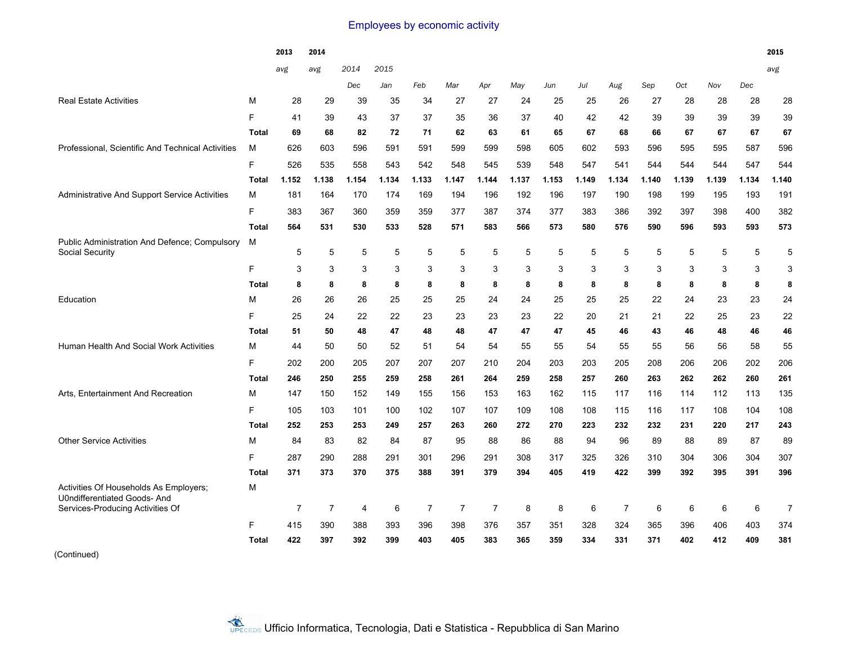## Employees by economic activity

|                                                                                                                  |              | 2013           | 2014           |                |            |                |                |                |            |            |                |                |            |            |            |            | 2015           |
|------------------------------------------------------------------------------------------------------------------|--------------|----------------|----------------|----------------|------------|----------------|----------------|----------------|------------|------------|----------------|----------------|------------|------------|------------|------------|----------------|
|                                                                                                                  |              | avg            | avg            | 2014           | 2015       |                |                |                |            |            |                |                |            |            |            |            | avg            |
|                                                                                                                  |              |                |                | Dec            | Jan        | Feb            | Mar            | Apr            | May        | Jun        | Jul            | Aug            | Sep        | Oct        | Nov        | Dec        |                |
| <b>Real Estate Activities</b>                                                                                    | М            | 28             | 29             | 39             | 35         | 34             | 27             | 27             | 24         | 25         | 25             | 26             | 27         | 28         | 28         | 28         | 28             |
|                                                                                                                  | F            | 41             | 39             | 43             | 37         | 37             | 35             | 36             | 37         | 40         | 42             | 42             | 39         | 39         | 39         | 39         | 39             |
|                                                                                                                  | <b>Total</b> | 69             | 68             | 82             | 72         | 71             | 62             | 63             | 61         | 65         | 67             | 68             | 66         | 67         | 67         | 67         | 67             |
| Professional, Scientific And Technical Activities                                                                | м            | 626            | 603            | 596            | 591        | 591            | 599            | 599            | 598        | 605        | 602            | 593            | 596        | 595        | 595        | 587        | 596            |
|                                                                                                                  | F            | 526            | 535            | 558            | 543        | 542            | 548            | 545            | 539        | 548        | 547            | 541            | 544        | 544        | 544        | 547        | 544            |
|                                                                                                                  | <b>Total</b> | 1.152          | 1.138          | 1.154          | 1.134      | 1.133          | 1.147          | 1.144          | 1.137      | 1.153      | 1.149          | 1.134          | 1.140      | 1.139      | 1.139      | 1.134      | 1.140          |
| Administrative And Support Service Activities                                                                    | М            | 181            | 164            | 170            | 174        | 169            | 194            | 196            | 192        | 196        | 197            | 190            | 198        | 199        | 195        | 193        | 191            |
|                                                                                                                  | F            | 383            | 367            | 360            | 359        | 359            | 377            | 387            | 374        | 377        | 383            | 386            | 392        | 397        | 398        | 400        | 382            |
|                                                                                                                  | <b>Total</b> | 564            | 531            | 530            | 533        | 528            | 571            | 583            | 566        | 573        | 580            | 576            | 590        | 596        | 593        | 593        | 573            |
| Public Administration And Defence; Compulsory<br>Social Security                                                 | м            | 5              | 5              | 5              | 5          | 5              | 5              | 5              | 5          | 5          | $\overline{5}$ | 5              | 5          | 5          | 5          | 5          | 5              |
|                                                                                                                  | F            | 3              | 3              | 3              | 3          | 3              | 3              | 3              | 3          | 3          | 3              | 3              | 3          | 3          | 3          | 3          | 3              |
|                                                                                                                  | Total        | 8              | 8              | 8              | 8          | 8              | 8              | 8              | 8          | 8          | 8              | 8              | 8          | 8          | 8          | 8          | 8              |
| Education                                                                                                        | М            | 26             | 26             | 26             | 25         | 25             | 25             | 24             | 24         | 25         | 25             | 25             | 22         | 24         | 23         | 23         | 24             |
|                                                                                                                  | F            | 25             | 24             | 22             | 22         | 23             | 23             | 23             | 23         | 22         | 20             | 21             | 21         | 22         | 25         | 23         | 22             |
|                                                                                                                  | <b>Total</b> | 51             | 50             | 48             | 47         | 48             | 48             | 47             | 47         | 47         | 45             | 46             | 43         | 46         | 48         | 46         | 46             |
| Human Health And Social Work Activities                                                                          | М            | 44             | 50             | 50             | 52         | 51             | 54             | 54             | 55         | 55         | 54             | 55             | 55         | 56         | 56         | 58         | 55             |
|                                                                                                                  | F            | 202            | 200            | 205            | 207        | 207            | 207            | 210            | 204        | 203        | 203            | 205            | 208        | 206        | 206        | 202        | 206            |
|                                                                                                                  | <b>Total</b> | 246            | 250            | 255            | 259        | 258            | 261            | 264            | 259        | 258        | 257            | 260            | 263        | 262        | 262        | 260        | 261            |
| Arts, Entertainment And Recreation                                                                               | M            | 147            | 150            | 152            | 149        | 155            | 156            | 153            | 163        | 162        | 115            | 117            | 116        | 114        | 112        | 113        | 135            |
|                                                                                                                  | F            | 105            | 103            | 101            | 100        | 102            | 107            | 107            | 109        | 108        | 108            | 115            | 116        | 117        | 108        | 104        | 108            |
|                                                                                                                  | <b>Total</b> | 252            | 253            | 253            | 249        | 257            | 263            | 260            | 272        | 270        | 223            | 232            | 232        | 231        | 220        | 217        | 243            |
| <b>Other Service Activities</b>                                                                                  | M            | 84             | 83             | 82             | 84         | 87             | 95             | 88             | 86         | 88         | 94             | 96             | 89         | 88         | 89         | 87         | 89             |
|                                                                                                                  | F            | 287            | 290            | 288            | 291        | 301            | 296            | 291            | 308        | 317        | 325            | 326            | 310        | 304        | 306        | 304        | 307            |
|                                                                                                                  | <b>Total</b> | 371            | 373            | 370            | 375        | 388            | 391            | 379            | 394        | 405        | 419            | 422            | 399        | 392        | 395        | 391        | 396            |
| Activities Of Households As Employers;<br><b>U0ndifferentiated Goods-And</b><br>Services-Producing Activities Of | М            | $\overline{7}$ | $\overline{7}$ | $\overline{4}$ | 6          | $\overline{7}$ | $\overline{7}$ | $\overline{7}$ | 8          | 8          | 6              | $\overline{7}$ | 6          | 6          | 6          | 6          | $\overline{7}$ |
|                                                                                                                  |              |                |                |                |            |                |                |                |            |            |                |                |            |            |            |            |                |
|                                                                                                                  | F            | 415<br>422     | 390<br>397     | 388<br>392     | 393<br>399 | 396<br>403     | 398<br>405     | 376<br>383     | 357<br>365 | 351<br>359 | 328<br>334     | 324<br>331     | 365<br>371 | 396<br>402 | 406<br>412 | 403<br>409 | 374<br>381     |
|                                                                                                                  | <b>Total</b> |                |                |                |            |                |                |                |            |            |                |                |            |            |            |            |                |

(Continued)